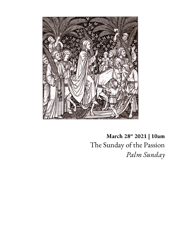

# **March 28 st 2021 | 10am** The Sunday of the Passion *Palm Sunday*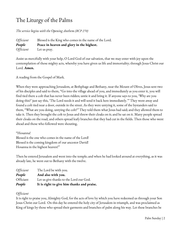## The Liturgy of the Palms

*The service begins with the Opening Anthem (BCP 270)*

| Officiant | Blessed is the King who comes in the name of the Lord. |
|-----------|--------------------------------------------------------|
| People    | Peace in heaven and glory in the highest.              |
| Officiant | Let us pray.                                           |

Assist us mercifully with your help, O Lord God of our salvation, that we may enter with joy upon the contemplation of those mighty acts, whereby you have given us life and immortality; through Jesus Christ our Lord. **Amen.**

A reading from the Gospel of Mark.

When they were approaching Jerusalem, at Bethphage and Bethany, near the Mount of Olives, Jesus sent two of his disciples and said to them, "Go into the village ahead of you, and immediately as you enter it, you will find tied there a colt that has never been ridden; untie it and bring it. If anyone says to you, 'Why are you doing this?' just say this, 'The Lord needs it and will send it back here immediately.'" They went away and found a colt tied near a door, outside in the street. As they were untying it, some of the bystanders said to them, "What are you doing, untying the colt?" They told them what Jesus had said; and they allowed them to take it. Then they brought the colt to Jesus and threw their cloaks on it; and he sat on it. Many people spread their cloaks on the road, and others spread leafy branches that they had cut in the fields. Then those who went ahead and those who followed were shouting,

"Hosanna! Blessed is the one who comes in the name of the Lord! Blessed is the coming kingdom of our ancestor David! Hosanna in the highest heaven!"

Then he entered Jerusalem and went into the temple; and when he had looked around at everything, as it was already late, he went out to Bethany with the twelve.

| People           | It is right to give him thanks and praise. |
|------------------|--------------------------------------------|
| Officiant        | Let us give thanks to the Lord our God.    |
| People           | And also with you.                         |
| <i>Officiant</i> | The Lord be with you.                      |

#### *Officiant*

It is right to praise you, Almighty God, for the acts of love by which you have redeemed us through your Son Jesus Christ our Lord. On this day he entered the holy city of Jerusalem in triumph, and was proclaimed as King of kings by those who spread their garments and branches of palm along his way. Let these branches be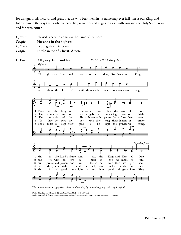for us signs of his victory, and grant that we who bear them in his name may ever hail him as our King, and follow him in the way that leads to eternal life; who lives and reigns in glory with you and the Holy Spirit, now and for ever. **Amen.**

| <i>Officiant</i> | Blessed is he who comes in the name of the Lord. |  |
|------------------|--------------------------------------------------|--|
| People           | Hosanna in the highest.                          |  |
| Officiant        | Let us go forth in peace.                        |  |
| People           | In the name of Christ. Amen.                     |  |



The stanzas may be sung by choir alone or alternately by contrasted groups; all sing the refrain.

Words: Theodulph of Orleans (d. 821); tr. John Mason Neale (1818-1866), alt. Music: Valet will ich dir geben, melody Melchoir Teschner (1584-1635), alt.; harm. William Henry Monk (1823-1889)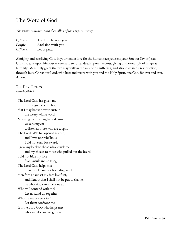### The Word of God

THE FIRST LESSON

*The service continues with the Collect of the Day (BCP 272)*

| Officiant | The Lord be with you. |
|-----------|-----------------------|
| People    | And also with you.    |
| Officiant | Let us pray.          |

Almighty and everliving God, in your tender love for the human race you sent your Son our Savior Jesus Christ to take upon him our nature, and to suffer death upon the cross, giving us the example of his great humility: Mercifully grant that we may walk in the way of his suffering, and also share in his resurrection; through Jesus Christ our Lord, who lives and reigns with you and the Holy Spirit, one God, for ever and ever. **Amen.**

*Isaiah 50:4-9a*  The Lord GOD has given me the tongue of a teacher, that I may know how to sustain the weary with a word. Morning by morning he wakens- wakens my ear to listen as those who are taught. The Lord GOD has opened my ear, and I was not rebellious, I did not turn backward. I gave my back to those who struck me, and my cheeks to those who pulled out the beard; I did not hide my face from insult and spitting. The Lord GOD helps me; therefore I have not been disgraced; therefore I have set my face like flint, and I know that I shall not be put to shame; he who vindicates me is near. Who will contend with me? Let us stand up together. Who are my adversaries? Let them confront me. It is the Lord GOD who helps me; who will declare me guilty?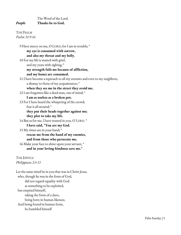#### The Word of the Lord. *People* **Thanks be to God.**

THE PSALM *Psalm 31:9-16*

9 Have mercy on me, O LORD, for I am in trouble; \* **my eye is consumed with sorrow, and also my throat and my belly.** 10 For my life is wasted with grief, and my years with sighing; \* **my strength fails me because of affliction, and my bones are consumed.** 11 I have become a reproach to all my enemies and even to my neighbors, a dismay to those of my acquaintance; \* **when they see me in the street they avoid me.** 12 I am forgotten like a dead man, out of mind; \* **I am as useless as a broken pot.** 13 For I have heard the whispering of the crowd; fear is all around; \* **they put their heads together against me; they plot to take my life.** 14 But as for me, I have trusted in you, O LORD. \* **I have said, "You are my God.** 15 My times are in your hand; \* **rescue me from the hand of my enemies, and from those who persecute me.** 16 Make your face to shine upon your servant, \* **and in your loving-kindness save me."** THE EPISTLE *Philippians 2:5-11*

Let the same mind be in you that was in Christ Jesus, who, though he was in the form of God, did not regard equality with God as something to be exploited, but emptied himself, taking the form of a slave, being born in human likeness. And being found in human form, he humbled himself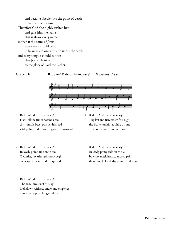and became obedient to the point of death- even death on a cross. Therefore God also highly exalted him and gave him the name that is above every name, so that at the name of Jesus every knee should bend, in heaven and on earth and under the earth, and every tongue should confess that Jesus Christ is Lord, to the glory of God the Father.

Gospel Hymn **Ride on! Ride on in majesty!** *Winchester New* 



- 1 Ride on! ride on in majesty! 4 Ride on! ride on in majesty! Hark! all the tribes hosanna cry; Thy last and fiercest strife is nigh; thy humble beast pursues his road the Father on his sapphire throne with palms and scattered garments strowed. expects his own anointed Son.
- 
- 2 Ride on! ride on in majesty! 5 Ride on! ride on in majesty! In lowly pomp ride on to die; In lowly pomp ride on to die;
- O Christ, thy triumphs now begin bow thy meek head to mortal pain, o'er captive death and conquered sin. then take, O God, thy power, and reign.
- 3 Ride on! ride on in majesty! The angel armies of the sky look down with sad and wondering eyes to see the approaching sacrifice.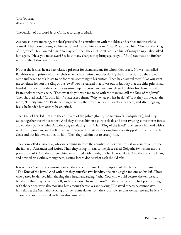#### THE GOSPEL *Mark 15:1-39*

The Passion of our Lord Jesus Christ according to Mark.

As soon as it was morning, the chief priests held a consultation with the elders and scribes and the whole council. They bound Jesus, led him away, and handed him over to Pilate. Pilate asked him, "Are you the King of the Jews?" He answered him, "You say so." Then the chief priests accused him of many things. Pilate asked him again, "Have you no answer? See how many charges they bring against you." But Jesus made no further reply, so that Pilate was amazed.

Now at the festival he used to release a prisoner for them, anyone for whom they asked. Now a man called Barabbas was in prison with the rebels who had committed murder during the insurrection. So the crowd came and began to ask Pilate to do for them according to his custom. Then he answered them, "Do you want me to release for you the King of the Jews?" For he realized that it was out of jealousy that the chief priests had handed him over. But the chief priests stirred up the crowd to have him release Barabbas for them instead. Pilate spoke to them again, "Then what do you wish me to do with the man you call the King of the Jews?" They shouted back, "Crucify him!" Pilate asked them, "Why, what evil has he done?" But they shouted all the more, "Crucify him!" So Pilate, wishing to satisfy the crowd, released Barabbas for them; and after flogging Jesus, he handed him over to be crucified.

Then the soldiers led him into the courtyard of the palace (that is, the governor's headquarters); and they called together the whole cohort. And they clothed him in a purple cloak; and after twisting some thorns into a crown, they put it on him. And they began saluting him, "Hail, King of the Jews!" They struck his head with a reed, spat upon him, and knelt down in homage to him. After mocking him, they stripped him of the purple cloak and put his own clothes on him. Then they led him out to crucify him.

They compelled a passer-by, who was coming in from the country, to carry his cross; it was Simon of Cyrene, the father of Alexander and Rufus. Then they brought Jesus to the place called Golgotha (which means the place of a skull). And they offered him wine mixed with myrrh; but he did not take it. And they crucified him, and divided his clothes among them, casting lots to decide what each should take.

It was nine o'clock in the morning when they crucified him. The inscription of the charge against him read, "The King of the Jews." And with him they crucified two bandits, one on his right and one on his left. Those who passed by derided him, shaking their heads and saying, "Aha! You who would destroy the temple and build it in three days, save yourself, and come down from the cross!" In the same way the chief priests, along with the scribes, were also mocking him among themselves and saying, "He saved others; he cannot save himself. Let the Messiah, the King of Israel, come down from the cross now, so that we may see and believe." Those who were crucified with him also taunted him.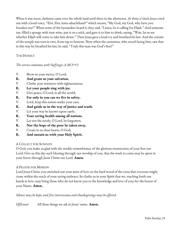When it was noon, darkness came over the whole land until three in the afternoon. At three o'clock Jesus cried out with a loud voice, "Eloi, Eloi, lema sabachthani?" which means, "My God, my God, why have you forsaken me?" When some of the bystanders heard it, they said, "Listen, he is calling for Elijah." And someone ran, filled a sponge with sour wine, put it on a stick, and gave it to him to drink, saying, "Wait, let us see whether Elijah will come to take him down." Then Jesus gave a loud cry and breathed his last. And the curtain of the temple was torn in two, from top to bottom. Now when the centurion, who stood facing him, saw that in this way he breathed his last, he said, "Truly this man was God's Son!"

#### THE HOMILY

#### *The service continues with Suffrages A (BCP 97)*

- V. Show us your mercy, O Lord;
- **R. And grant us your salvation.**
- V. Clothe your ministers with righteousness;
- **R. Let your people sing with joy.**
- V. Give peace, O Lord, in all the world;
- **R. For only in you can we live in safety.**
- V. Lord, keep this nation under your care;
- **R. And guide us in the way of justice and truth.**
- V. Let your way be known upon earth;
- **R. Your saving health among all nations.**
- V. Let not the needy, O Lord, be forgotten;
- **R. Nor the hope of the poor be taken away.**
- V. Create in us clean hearts, O God;
- **R. And sustain us with your Holy Spirit.**

#### A COLLECT FOR SUNDAYS

O God, you make us glad with the weekly remembrance of the glorious resurrection of your Son our Lord: Give us this day such blessing through our worship of you, that the week to come may be spent in your favor; through Jesus Christ our Lord. **Amen.**

#### APRAYER FOR MISSION

Lord Jesus Christ, you stretched out your arms of love on the hard wood of the cross that everyone might come within the reach of your saving embrace: So clothe us in your Spirit that we, reaching forth our hands in love, may bring those who do not know you to the knowledge and love of you; for the honor of your Name. **Amen.**

#### *Silence may be kept, and free intercessions and thanksgivings may be offered.*

*Officiant* All these things we ask in Jesus' name. **Amen.**